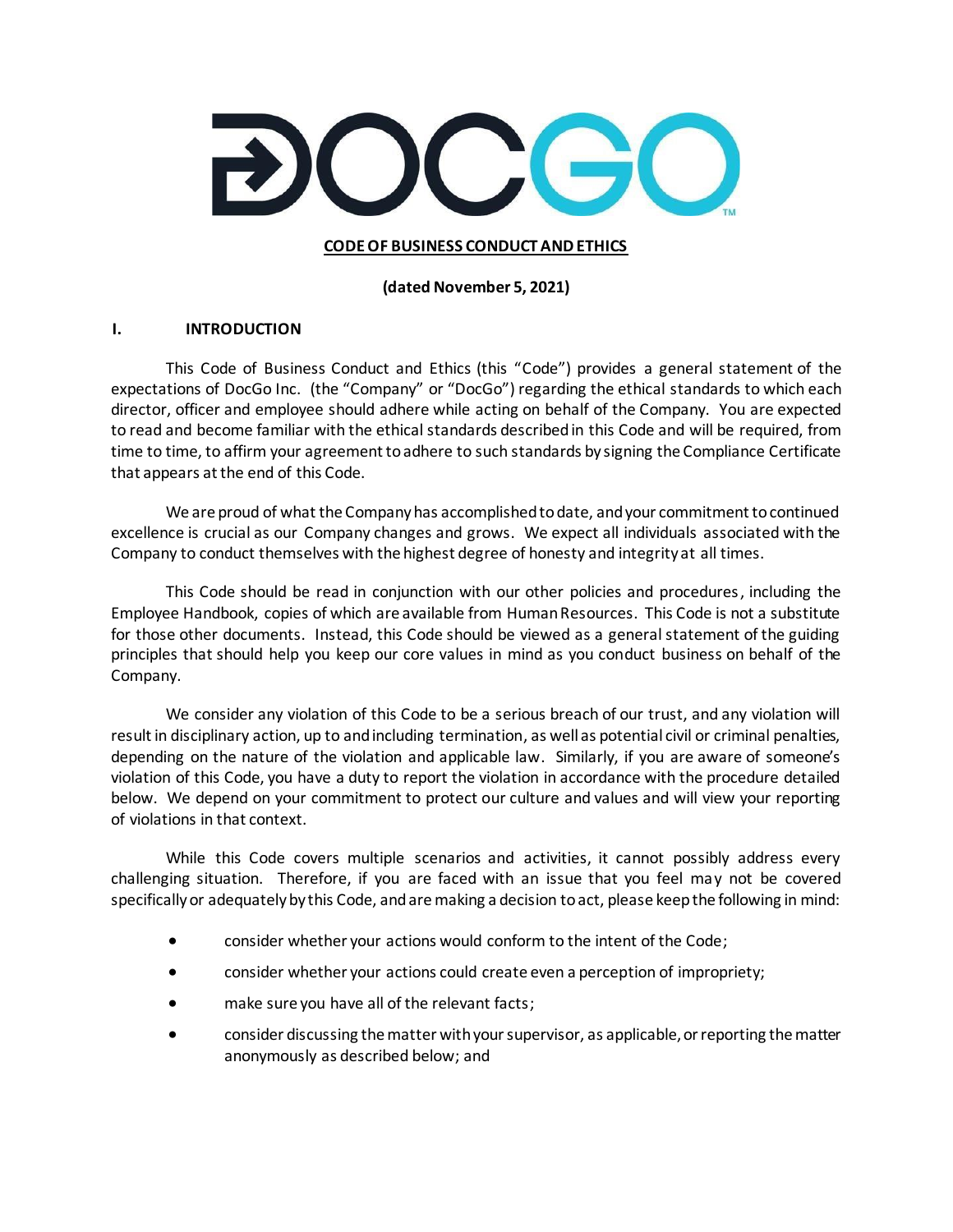

### **CODE OF BUSINESS CONDUCT AND ETHICS**

**(dated November 5, 2021)**

### **I. INTRODUCTION**

This Code of Business Conduct and Ethics (this "Code") provides a general statement of the expectations of DocGo Inc. (the "Company" or "DocGo") regarding the ethical standards to which each director, officer and employee should adhere while acting on behalf of the Company. You are expected to read and become familiar with the ethical standards described in this Code and will be required, from time to time, to affirm your agreement to adhere to such standards by signing the Compliance Certificate that appears at the end of this Code.

We are proud of what the Company has accomplished to date, and your commitment to continued excellence is crucial as our Company changes and grows. We expect all individuals associated with the Company to conduct themselves with the highest degree of honesty and integrity at all times.

This Code should be read in conjunction with our other policies and procedures, including the Employee Handbook, copies of which are available from Human Resources. This Code is not a substitute for those other documents. Instead, this Code should be viewed as a general statement of the guiding principles that should help you keep our core values in mind as you conduct business on behalf of the Company.

We consider any violation of this Code to be a serious breach of our trust, and any violation will result in disciplinary action, up to and including termination, as well as potential civil or criminal penalties, depending on the nature of the violation and applicable law. Similarly, if you are aware of someone's violation of this Code, you have a duty to report the violation in accordance with the procedure detailed below. We depend on your commitment to protect our culture and values and will view your reporting of violations in that context.

While this Code covers multiple scenarios and activities, it cannot possibly address every challenging situation. Therefore, if you are faced with an issue that you feel may not be covered specifically or adequately by this Code, and are making a decision to act, please keep the following in mind:

- consider whether your actions would conform to the intent of the Code;
- consider whether your actions could create even a perception of impropriety;
- make sure you have all of the relevant facts;
- consider discussing the matter with your supervisor, as applicable, or reporting the matter anonymously as described below; and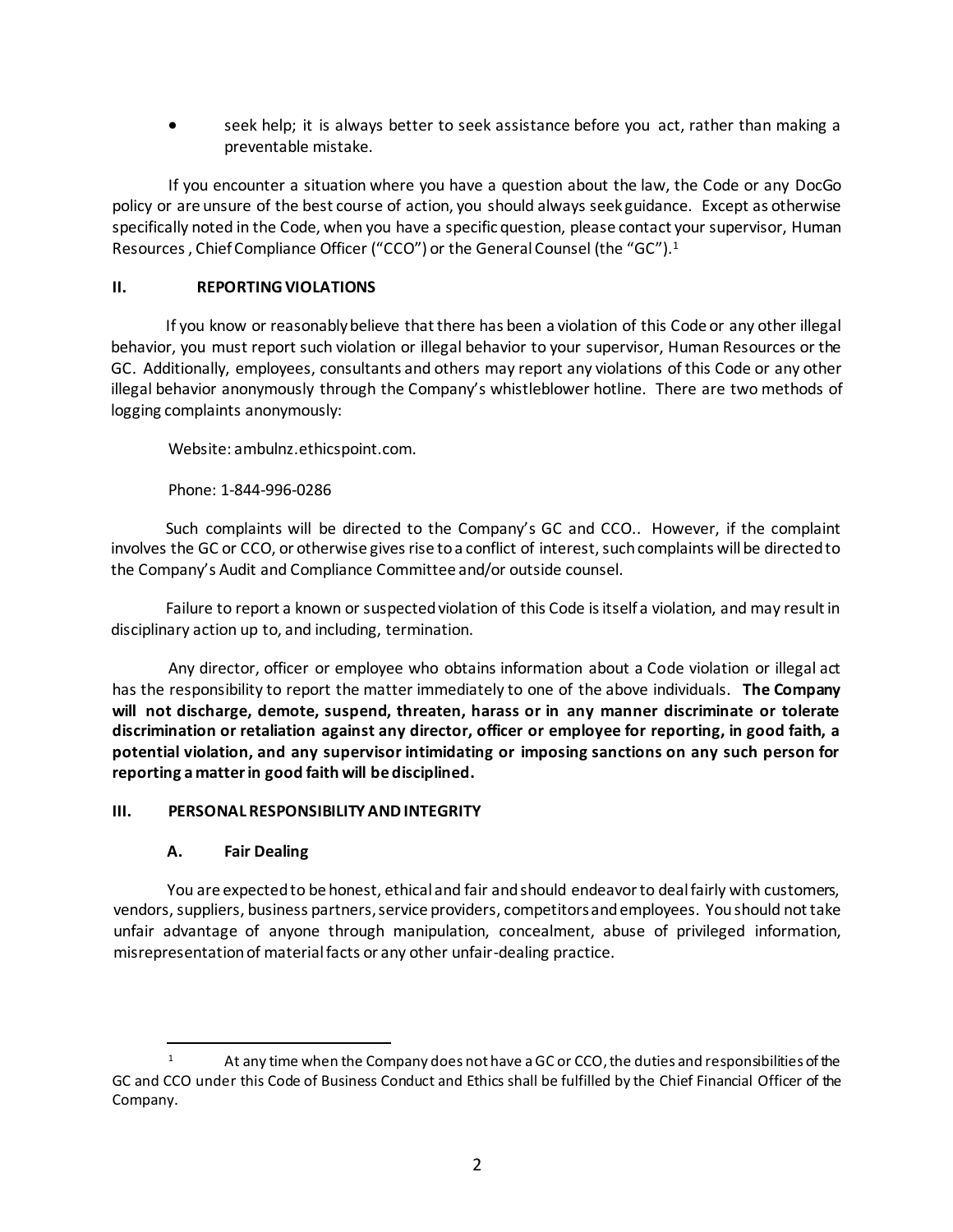seek help; it is always better to seek assistance before you act, rather than making a preventable mistake.

If you encounter a situation where you have a question about the law, the Code or any DocGo policy or are unsure of the best course of action, you should always seek guidance. Except as otherwise specifically noted in the Code, when you have a specific question, please contact your supervisor, Human Resources, Chief Compliance Officer ("CCO") or the General Counsel (the "GC").<sup>1</sup>

## **II. REPORTING VIOLATIONS**

If you know or reasonably believe that there has been a violation of this Code or any other illegal behavior, you must report such violation or illegal behavior to your supervisor, Human Resources or the GC. Additionally, employees, consultants and others may report any violations of this Code or any other illegal behavior anonymously through the Company's whistleblower hotline. There are two methods of logging complaints anonymously:

Website: ambulnz.ethicspoint.com.

### Phone: 1-844-996-0286

Such complaints will be directed to the Company's GC and CCO.. However, if the complaint involves the GC or CCO, or otherwise gives rise to a conflict of interest, such complaints will be directed to the Company's Audit and Compliance Committee and/or outside counsel.

Failure to report a known or suspected violation of this Code is itself a violation, and may result in disciplinary action up to, and including, termination.

Any director, officer or employee who obtains information about a Code violation or illegal act has the responsibility to report the matter immediately to one of the above individuals. **The Company will not discharge, demote, suspend, threaten, harass or in any manner discriminate or tolerate discrimination or retaliation against any director, officer or employee for reporting, in good faith, a potential violation, and any supervisor intimidating or imposing sanctions on any such person for reporting a matter in good faith will be disciplined.** 

#### **III. PERSONAL RESPONSIBILITY AND INTEGRITY**

# **A. Fair Dealing**

You are expected to be honest, ethical and fair and should endeavor to deal fairly with customers, vendors, suppliers, business partners, service providers, competitors and employees. You should not take unfair advantage of anyone through manipulation, concealment, abuse of privileged information, misrepresentation of material facts or any other unfair-dealing practice.

<sup>&</sup>lt;sup>1</sup> At any time when the Company does not have a GC or CCO, the duties and responsibilities of the GC and CCO under this Code of Business Conduct and Ethics shall be fulfilled by the Chief Financial Officer of the Company.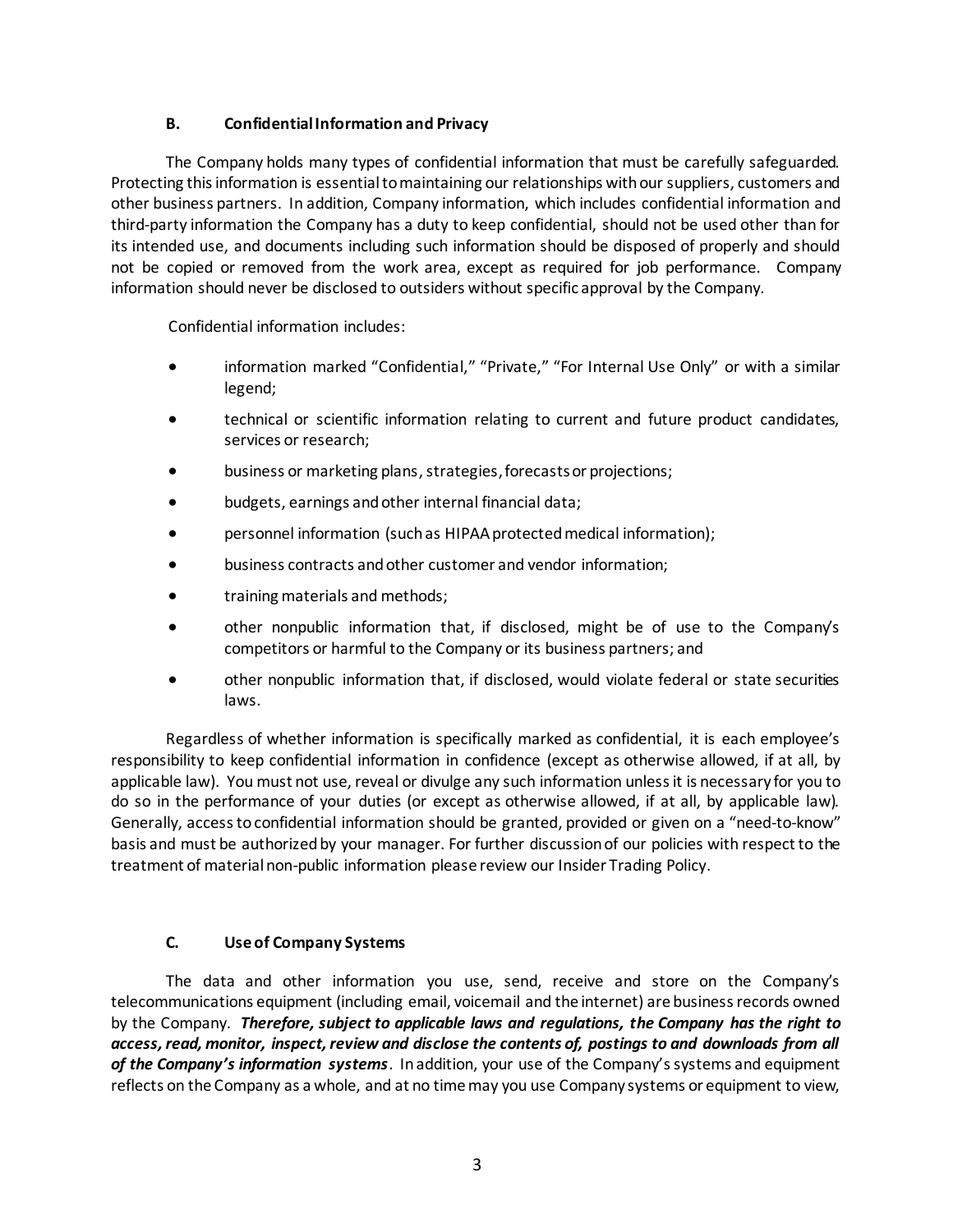# **B. Confidential Information and Privacy**

The Company holds many types of confidential information that must be carefully safeguarded. Protecting this information is essential to maintaining our relationships with our suppliers, customers and other business partners. In addition, Company information, which includes confidential information and third-party information the Company has a duty to keep confidential, should not be used other than for its intended use, and documents including such information should be disposed of properly and should not be copied or removed from the work area, except as required for job performance. Company information should never be disclosed to outsiders without specific approval by the Company.

Confidential information includes:

- information marked "Confidential," "Private," "For Internal Use Only" or with a similar legend;
- technical or scientific information relating to current and future product candidates, services or research;
- business or marketing plans, strategies, forecastsor projections;
- budgets, earnings and other internal financial data;
- personnel information (such as HIPAA protected medical information);
- business contracts and other customer and vendor information;
- training materials and methods;
- other nonpublic information that, if disclosed, might be of use to the Company's competitors or harmful to the Company or its business partners; and
- other nonpublic information that, if disclosed, would violate federal or state securities laws.

Regardless of whether information is specifically marked as confidential, it is each employee's responsibility to keep confidential information in confidence (except as otherwise allowed, if at all, by applicable law). You must not use, reveal or divulge any such information unless it is necessary for you to do so in the performance of your duties (or except as otherwise allowed, if at all, by applicable law). Generally, access to confidential information should be granted, provided or given on a "need-to-know" basis and must be authorized by your manager. For further discussion of our policies with respect to the treatment of material non-public information please review our Insider Trading Policy.

# **C. Use of Company Systems**

The data and other information you use, send, receive and store on the Company's telecommunications equipment (including email, voicemail and the internet) are business records owned by the Company. *Therefore, subject to applicable laws and regulations, the Company has the right to access, read, monitor, inspect, review and disclose the contents of, postings to and downloads from all of the Company's information systems*. In addition, your use of the Company's systems and equipment reflects on the Company as a whole, and at no time may you use Company systems or equipment to view,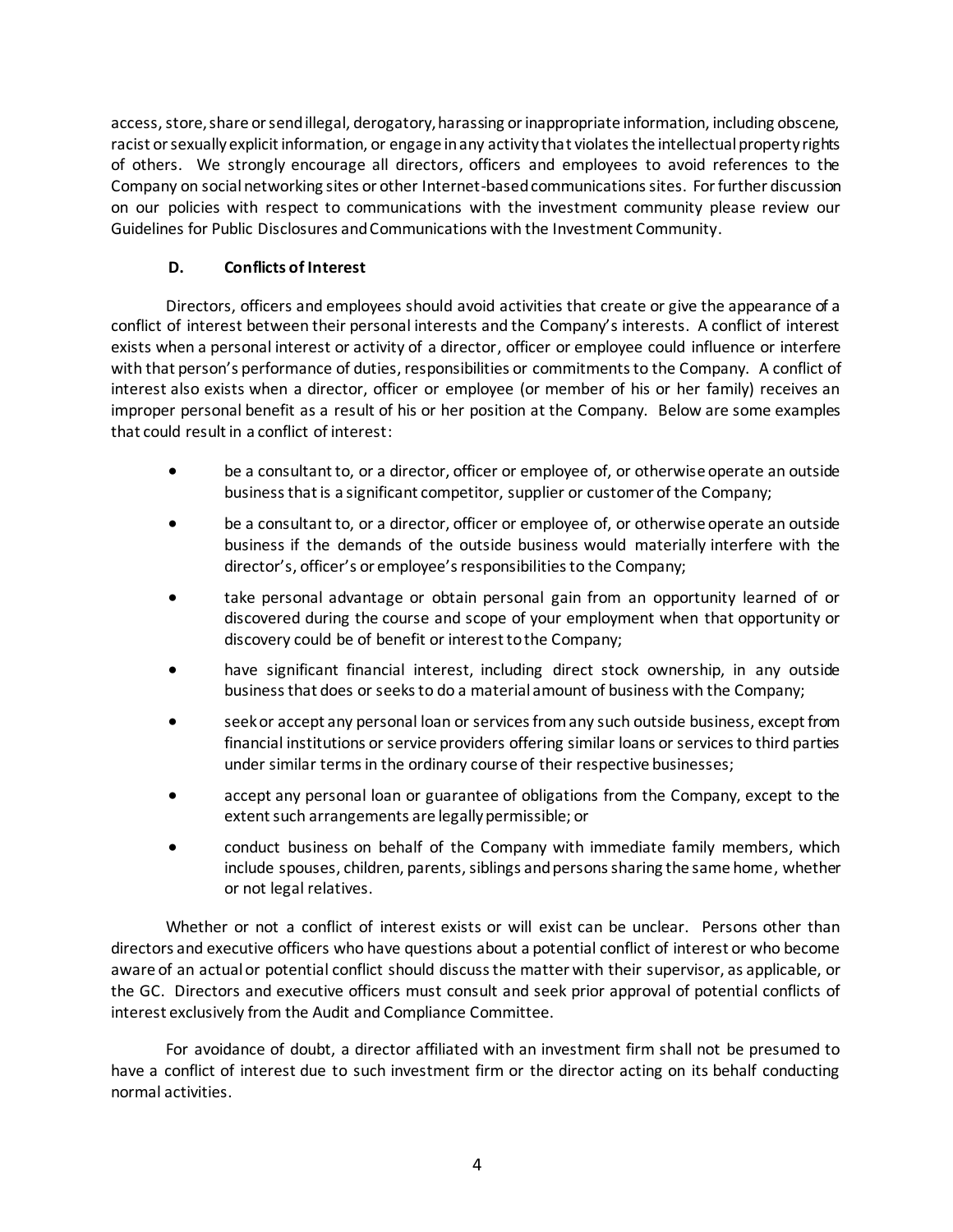access, store, share or send illegal, derogatory, harassing or inappropriate information, including obscene, racist or sexually explicit information, or engage in any activity that violates the intellectual property rights of others. We strongly encourage all directors, officers and employees to avoid references to the Company on social networking sites or other Internet-based communications sites. For further discussion on our policies with respect to communications with the investment community please review our Guidelines for Public Disclosures and Communications with the Investment Community.

# **D. Conflicts of Interest**

Directors, officers and employees should avoid activities that create or give the appearance of a conflict of interest between their personal interests and the Company's interests. A conflict of interest exists when a personal interest or activity of a director, officer or employee could influence or interfere with that person's performance of duties, responsibilities or commitments to the Company. A conflict of interest also exists when a director, officer or employee (or member of his or her family) receives an improper personal benefit as a result of his or her position at the Company. Below are some examples that could result in a conflict of interest:

- be a consultant to, or a director, officer or employee of, or otherwise operate an outside business that is a significant competitor, supplier or customer of the Company;
- be a consultant to, or a director, officer or employee of, or otherwise operate an outside business if the demands of the outside business would materially interfere with the director's, officer's or employee's responsibilities to the Company;
- take personal advantage or obtain personal gain from an opportunity learned of or discovered during the course and scope of your employment when that opportunity or discovery could be of benefit or interest to the Company;
- have significant financial interest, including direct stock ownership, in any outside business that does or seeks to do a material amount of business with the Company;
- seek or accept any personal loan or services from any such outside business, except from financial institutions or service providers offering similar loans or services to third parties under similar terms in the ordinary course of their respective businesses;
- accept any personal loan or guarantee of obligations from the Company, except to the extent such arrangements are legally permissible; or
- conduct business on behalf of the Company with immediate family members, which include spouses, children, parents, siblings and persons sharing the same home, whether or not legal relatives.

Whether or not a conflict of interest exists or will exist can be unclear. Persons other than directors and executive officers who have questions about a potential conflict of interest or who become aware of an actual or potential conflict should discuss the matter with their supervisor, as applicable, or the GC. Directors and executive officers must consult and seek prior approval of potential conflicts of interest exclusively from the Audit and Compliance Committee.

For avoidance of doubt, a director affiliated with an investment firm shall not be presumed to have a conflict of interest due to such investment firm or the director acting on its behalf conducting normal activities.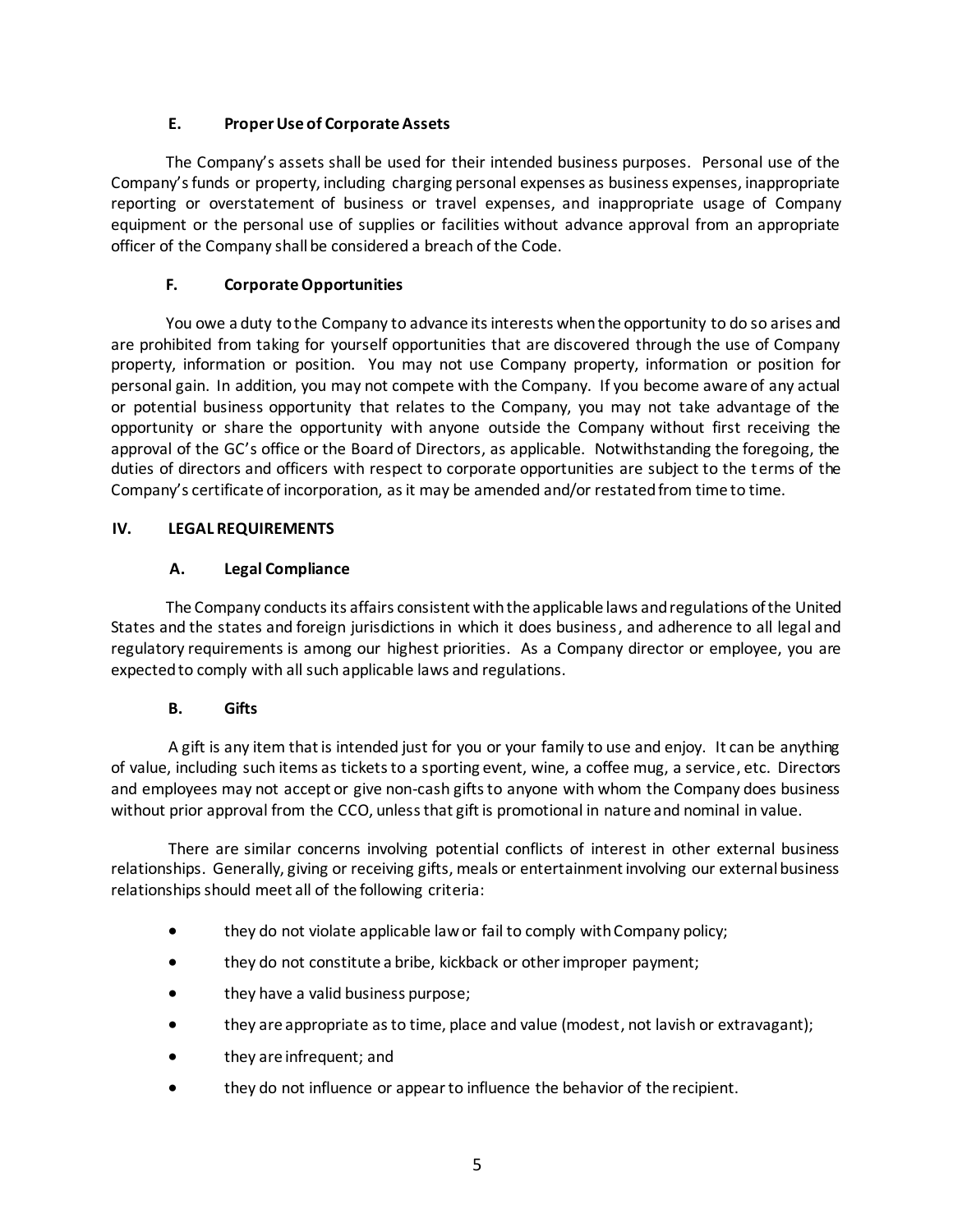# **E. Proper Use of Corporate Assets**

The Company's assets shall be used for their intended business purposes. Personal use of the Company's funds or property, including charging personal expenses as business expenses, inappropriate reporting or overstatement of business or travel expenses, and inappropriate usage of Company equipment or the personal use of supplies or facilities without advance approval from an appropriate officer of the Company shall be considered a breach of the Code.

# **F. Corporate Opportunities**

You owe a duty to the Company to advance its interests when the opportunity to do so arises and are prohibited from taking for yourself opportunities that are discovered through the use of Company property, information or position. You may not use Company property, information or position for personal gain. In addition, you may not compete with the Company. If you become aware of any actual or potential business opportunity that relates to the Company, you may not take advantage of the opportunity or share the opportunity with anyone outside the Company without first receiving the approval of the GC's office or the Board of Directors, as applicable. Notwithstanding the foregoing, the duties of directors and officers with respect to corporate opportunities are subject to the terms of the Company's certificate of incorporation, as it may be amended and/or restated from time to time.

# **IV. LEGAL REQUIREMENTS**

# **A. Legal Compliance**

The Company conducts its affairs consistent with the applicable laws and regulations of the United States and the states and foreign jurisdictions in which it does business, and adherence to all legal and regulatory requirements is among our highest priorities. As a Company director or employee, you are expected to comply with all such applicable laws and regulations.

# **B. Gifts**

A gift is any item that is intended just for you or your family to use and enjoy. It can be anything of value, including such items as tickets to a sporting event, wine, a coffee mug, a service, etc. Directors and employees may not accept or give non-cash gifts to anyone with whom the Company does business without prior approval from the CCO, unless that gift is promotional in nature and nominal in value.

There are similar concerns involving potential conflicts of interest in other external business relationships. Generally, giving or receiving gifts, meals or entertainment involving our external business relationships should meet all of the following criteria:

- they do not violate applicable law or fail to comply with Company policy;
- they do not constitute a bribe, kickback or other improper payment;
- they have a valid business purpose;
- they are appropriate as to time, place and value (modest, not lavish or extravagant);
- they are infrequent; and
- they do not influence or appear to influence the behavior of the recipient.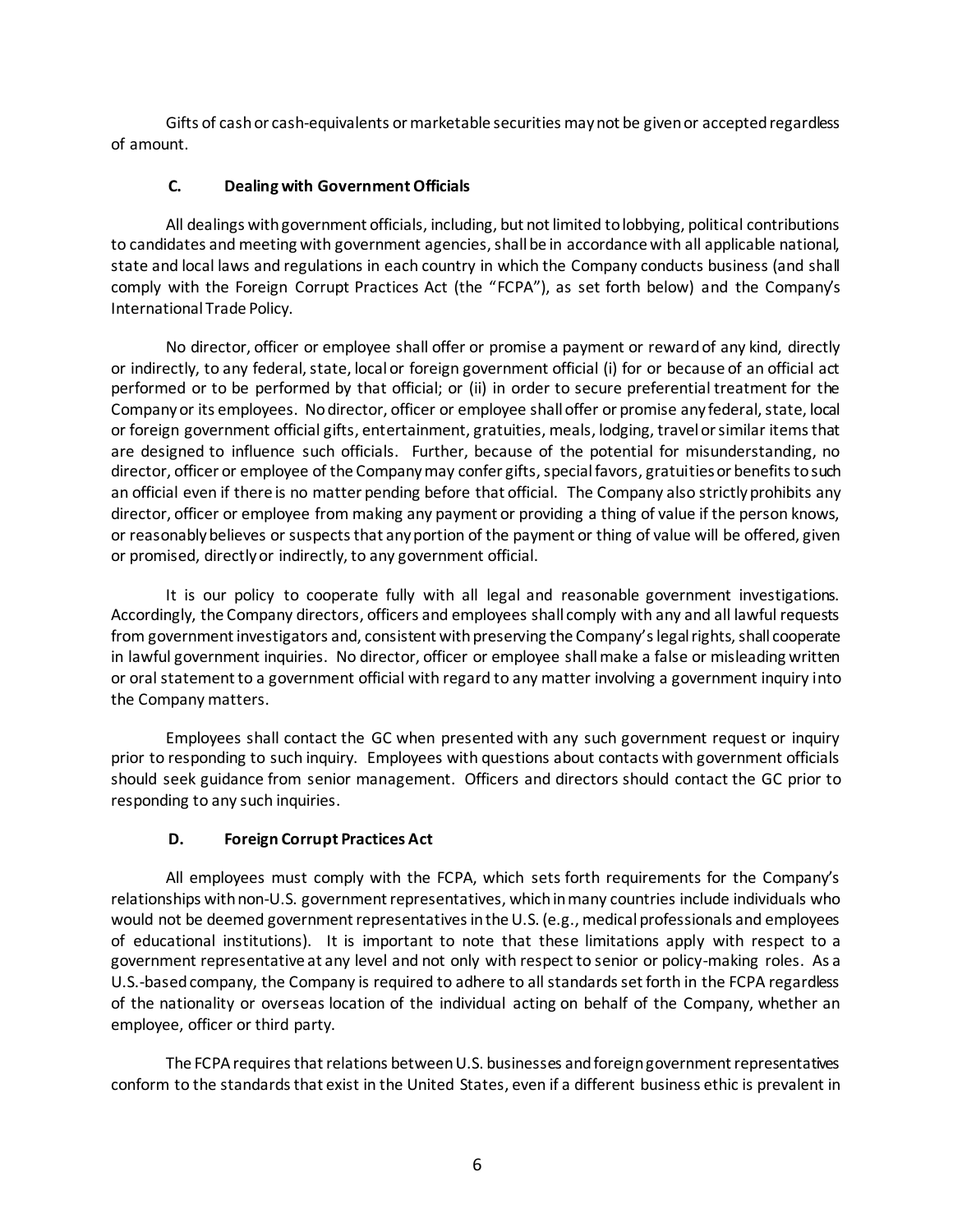Gifts of cash or cash-equivalents or marketable securities may not be given or accepted regardless of amount.

# **C. Dealing with Government Officials**

All dealings with government officials, including, but not limited to lobbying, political contributions to candidates and meeting with government agencies, shall be in accordance with all applicable national, state and local laws and regulations in each country in which the Company conducts business (and shall comply with the Foreign Corrupt Practices Act (the "FCPA"), as set forth below) and the Company's International Trade Policy.

No director, officer or employee shall offer or promise a payment or reward of any kind, directly or indirectly, to any federal, state, local or foreign government official (i) for or because of an official act performed or to be performed by that official; or (ii) in order to secure preferential treatment for the Company or its employees. No director, officer or employee shall offer or promise any federal, state, local or foreign government official gifts, entertainment, gratuities, meals, lodging, travel or similar items that are designed to influence such officials. Further, because of the potential for misunderstanding, no director, officer or employee of the Company may confer gifts, special favors, gratuities or benefits to such an official even if there is no matter pending before that official. The Company also strictly prohibits any director, officer or employee from making any payment or providing a thing of value if the person knows, or reasonably believes or suspects that any portion of the payment or thing of value will be offered, given or promised, directly or indirectly, to any government official.

It is our policy to cooperate fully with all legal and reasonable government investigations. Accordingly, the Company directors, officers and employees shall comply with any and all lawful requests from government investigators and, consistent with preserving the Company's legal rights, shall cooperate in lawful government inquiries. No director, officer or employee shall make a false or misleading written or oral statement to a government official with regard to any matter involving a government inquiry into the Company matters.

Employees shall contact the GC when presented with any such government request or inquiry prior to responding to such inquiry. Employees with questions about contacts with government officials should seek guidance from senior management. Officers and directors should contact the GC prior to responding to any such inquiries.

# **D. Foreign Corrupt Practices Act**

All employees must comply with the FCPA, which sets forth requirements for the Company's relationships with non-U.S. government representatives, which in many countries include individuals who would not be deemed government representatives in the U.S. (e.g., medical professionals and employees of educational institutions). It is important to note that these limitations apply with respect to a government representative at any level and not only with respect to senior or policy-making roles. As a U.S.-based company, the Company is required to adhere to all standards set forth in the FCPA regardless of the nationality or overseas location of the individual acting on behalf of the Company, whether an employee, officer or third party.

The FCPA requires that relations between U.S. businesses and foreign government representatives conform to the standards that exist in the United States, even if a different business ethic is prevalent in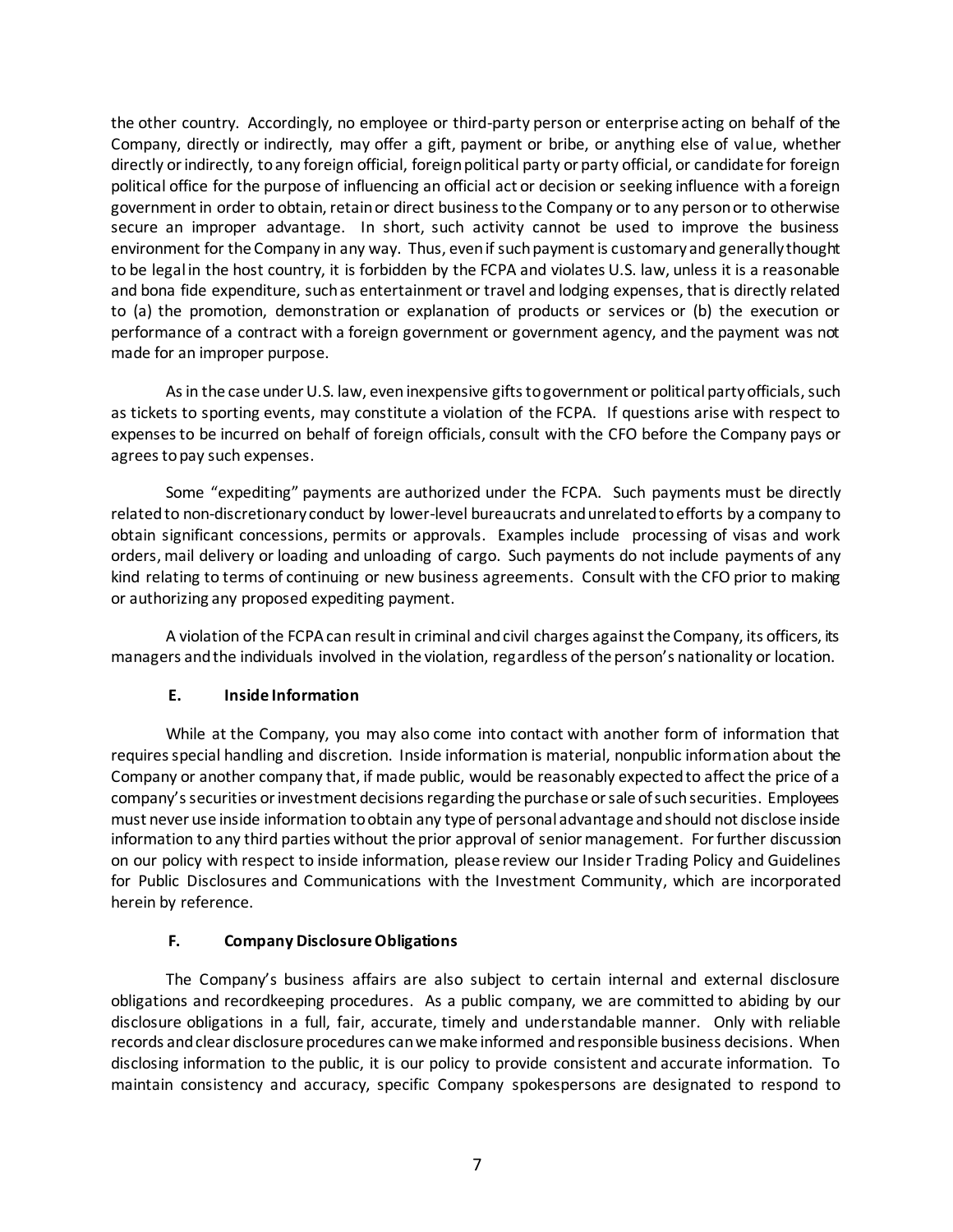the other country. Accordingly, no employee or third-party person or enterprise acting on behalf of the Company, directly or indirectly, may offer a gift, payment or bribe, or anything else of value, whether directly or indirectly, to any foreign official, foreign political party or party official, or candidate for foreign political office for the purpose of influencing an official act or decision or seeking influence with a foreign government in order to obtain, retain or direct business to the Company or to any person or to otherwise secure an improper advantage. In short, such activity cannot be used to improve the business environment for the Company in any way. Thus, even if such payment is customary and generally thought to be legal in the host country, it is forbidden by the FCPA and violates U.S. law, unless it is a reasonable and bona fide expenditure, such as entertainment or travel and lodging expenses, that is directly related to (a) the promotion, demonstration or explanation of products or services or (b) the execution or performance of a contract with a foreign government or government agency, and the payment was not made for an improper purpose.

As in the case under U.S. law, even inexpensive gifts to government or political party officials, such as tickets to sporting events, may constitute a violation of the FCPA. If questions arise with respect to expenses to be incurred on behalf of foreign officials, consult with the CFO before the Company pays or agrees to pay such expenses.

Some "expediting" payments are authorized under the FCPA. Such payments must be directly related to non-discretionary conduct by lower-level bureaucrats and unrelated to efforts by a company to obtain significant concessions, permits or approvals. Examples include processing of visas and work orders, mail delivery or loading and unloading of cargo. Such payments do not include payments of any kind relating to terms of continuing or new business agreements. Consult with the CFO prior to making or authorizing any proposed expediting payment.

A violation of the FCPA can result in criminal and civil charges against the Company, its officers, its managers and the individuals involved in the violation, regardless of the person's nationality or location.

# **E. Inside Information**

While at the Company, you may also come into contact with another form of information that requires special handling and discretion. Inside information is material, nonpublic information about the Company or another company that, if made public, would be reasonably expected to affect the price of a company's securities or investment decisions regarding the purchase or sale of such securities. Employees must never use inside information to obtain any type of personal advantage and should not disclose inside information to any third parties without the prior approval of senior management. For further discussion on our policy with respect to inside information, please review our Insider Trading Policy and Guidelines for Public Disclosures and Communications with the Investment Community, which are incorporated herein by reference.

# **F. Company Disclosure Obligations**

The Company's business affairs are also subject to certain internal and external disclosure obligations and recordkeeping procedures. As a public company, we are committed to abiding by our disclosure obligations in a full, fair, accurate, timely and understandable manner. Only with reliable records and clear disclosure procedures can we make informed and responsible business decisions. When disclosing information to the public, it is our policy to provide consistent and accurate information. To maintain consistency and accuracy, specific Company spokespersons are designated to respond to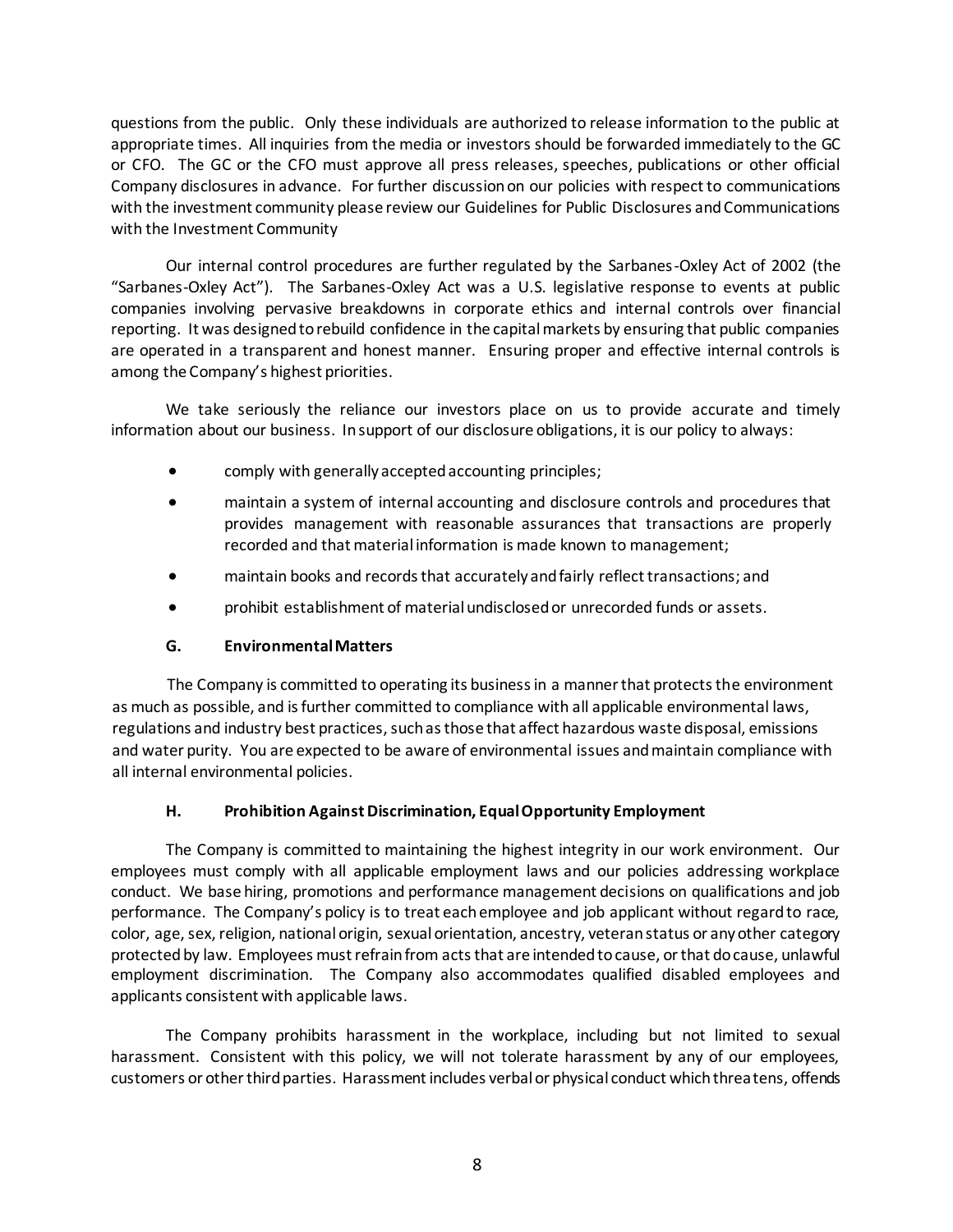questions from the public. Only these individuals are authorized to release information to the public at appropriate times. All inquiries from the media or investors should be forwarded immediately to the GC or CFO. The GC or the CFO must approve all press releases, speeches, publications or other official Company disclosures in advance. For further discussion on our policies with respect to communications with the investment community please review our Guidelines for Public Disclosures and Communications with the Investment Community

Our internal control procedures are further regulated by the Sarbanes-Oxley Act of 2002 (the "Sarbanes-Oxley Act"). The Sarbanes-Oxley Act was a U.S. legislative response to events at public companies involving pervasive breakdowns in corporate ethics and internal controls over financial reporting. It was designed to rebuild confidence in the capital markets by ensuring that public companies are operated in a transparent and honest manner. Ensuring proper and effective internal controls is among the Company's highest priorities.

We take seriously the reliance our investors place on us to provide accurate and timely information about our business. In support of our disclosure obligations, it is our policy to always:

- comply with generally accepted accounting principles;
- maintain a system of internal accounting and disclosure controls and procedures that provides management with reasonable assurances that transactions are properly recorded and that material information is made known to management;
- maintain books and records that accurately and fairly reflect transactions; and
- prohibit establishment of material undisclosed or unrecorded funds or assets.

#### **G. Environmental Matters**

The Company is committed to operating its business in a manner that protects the environment as much as possible, and is further committed to compliance with all applicable environmental laws, regulations and industry best practices, such as those that affect hazardous waste disposal, emissions and water purity. You are expected to be aware of environmental issues and maintain compliance with all internal environmental policies.

#### **H. Prohibition Against Discrimination, Equal Opportunity Employment**

The Company is committed to maintaining the highest integrity in our work environment. Our employees must comply with all applicable employment laws and our policies addressing workplace conduct. We base hiring, promotions and performance management decisions on qualifications and job performance. The Company's policy is to treat each employee and job applicant without regard to race, color, age, sex, religion, national origin, sexual orientation, ancestry, veteran status or any other category protected by law. Employees must refrain from acts that are intended to cause, or that do cause, unlawful employment discrimination. The Company also accommodates qualified disabled employees and applicants consistent with applicable laws.

The Company prohibits harassment in the workplace, including but not limited to sexual harassment. Consistent with this policy, we will not tolerate harassment by any of our employees, customers or other third parties. Harassment includes verbal or physical conduct which threatens, offends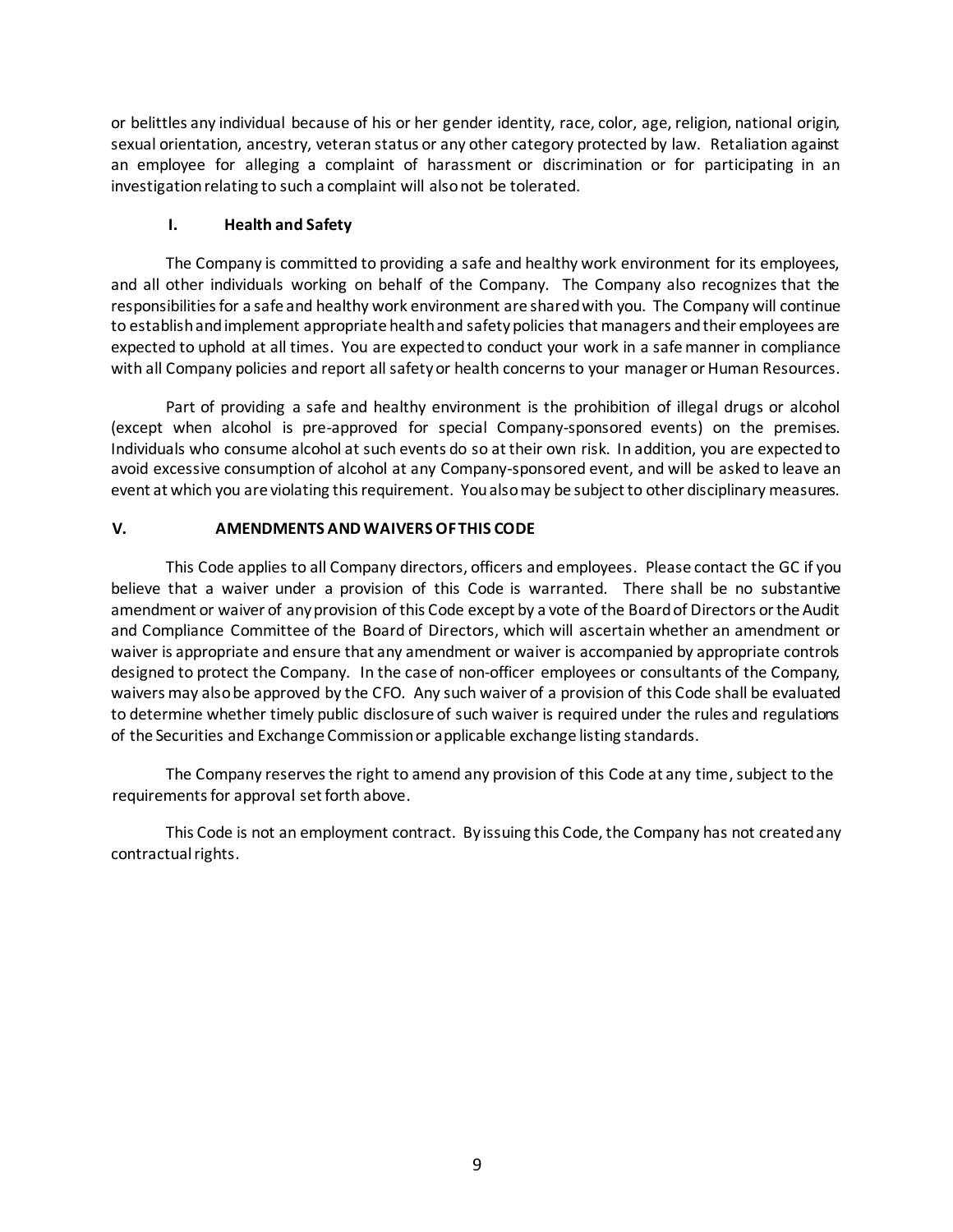or belittles any individual because of his or her gender identity, race, color, age, religion, national origin, sexual orientation, ancestry, veteran status or any other category protected by law. Retaliation against an employee for alleging a complaint of harassment or discrimination or for participating in an investigation relating to such a complaint will also not be tolerated.

## **I. Health and Safety**

The Company is committed to providing a safe and healthy work environment for its employees, and all other individuals working on behalf of the Company. The Company also recognizes that the responsibilities for a safe and healthy work environment are shared with you. The Company will continue to establish and implement appropriate health and safety policies that managers and their employees are expected to uphold at all times. You are expected to conduct your work in a safe manner in compliance with all Company policies and report all safety or health concerns to your manager or Human Resources.

Part of providing a safe and healthy environment is the prohibition of illegal drugs or alcohol (except when alcohol is pre-approved for special Company-sponsored events) on the premises. Individuals who consume alcohol at such events do so at their own risk. In addition, you are expected to avoid excessive consumption of alcohol at any Company-sponsored event, and will be asked to leave an event at which you are violating this requirement. You also may be subject to other disciplinary measures.

### **V. AMENDMENTS AND WAIVERS OF THIS CODE**

This Code applies to all Company directors, officers and employees. Please contact the GC if you believe that a waiver under a provision of this Code is warranted. There shall be no substantive amendment or waiver of any provision of this Code except by a vote of the Board of Directors or the Audit and Compliance Committee of the Board of Directors, which will ascertain whether an amendment or waiver is appropriate and ensure that any amendment or waiver is accompanied by appropriate controls designed to protect the Company. In the case of non-officer employees or consultants of the Company, waivers may also be approved by the CFO. Any such waiver of a provision of this Code shall be evaluated to determine whether timely public disclosure of such waiver is required under the rules and regulations of the Securities and Exchange Commission or applicable exchange listing standards.

The Company reserves the right to amend any provision of this Code at any time, subject to the requirements for approval set forth above.

This Code is not an employment contract. By issuing this Code, the Company has not created any contractual rights.